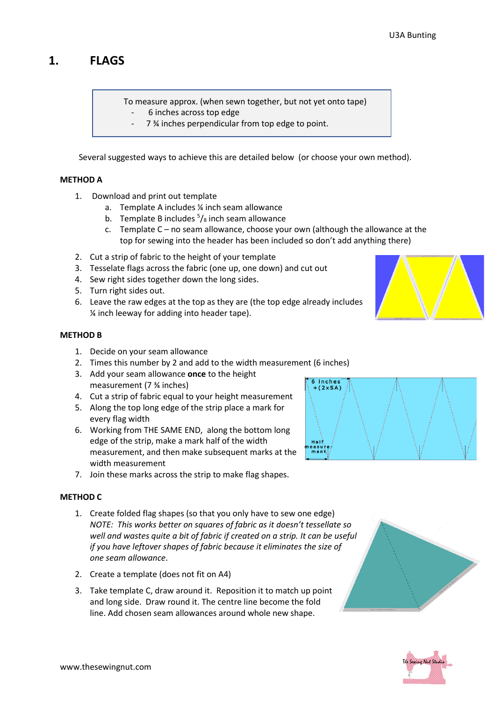# **1. FLAGS**

To measure approx. (when sewn together, but not yet onto tape)

- 6 inches across top edge
	- 7 ¾ inches perpendicular from top edge to point.

Several suggested ways to achieve this are detailed below (or choose your own method).

#### **METHOD A**

- 1. Download and print out template
	- a. Template A includes ¼ inch seam allowance
	- b. Template B includes  $\frac{5}{8}$  inch seam allowance
	- c. Template C no seam allowance, choose your own (although the allowance at the top for sewing into the header has been included so don't add anything there)
- 2. Cut a strip of fabric to the height of your template
- 3. Tesselate flags across the fabric (one up, one down) and cut out
- 4. Sew right sides together down the long sides.
- 5. Turn right sides out.
- 6. Leave the raw edges at the top as they are (the top edge already includes ¼ inch leeway for adding into header tape).

#### **METHOD B**

- 1. Decide on your seam allowance
- 2. Times this number by 2 and add to the width measurement (6 inches)
- 3. Add your seam allowance **once** to the height measurement (7 ¾ inches)
- 4. Cut a strip of fabric equal to your height measurement
- 5. Along the top long edge of the strip place a mark for every flag width
- 6. Working from THE SAME END, along the bottom long edge of the strip, make a mark half of the width measurement, and then make subsequent marks at the width measurement
- 7. Join these marks across the strip to make flag shapes.

### **METHOD C**

- 1. Create folded flag shapes (so that you only have to sew one edge) *NOTE: This works better on squares of fabric as it doesn't tessellate so well and wastes quite a bit of fabric if created on a strip. It can be useful if you have leftover shapes of fabric because it eliminates the size of one seam allowance*.
- 2. Create a template (does not fit on A4)
- 3. Take template C, draw around it. Reposition it to match up point and long side. Draw round it. The centre line become the fold line. Add chosen seam allowances around whole new shape.